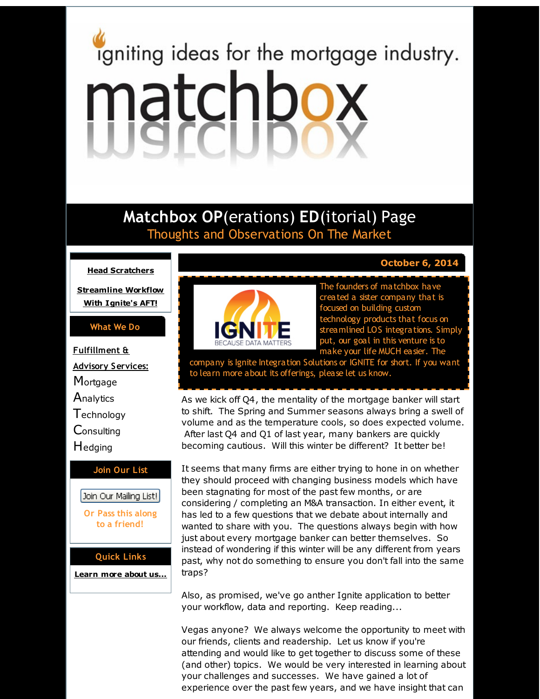# <span id="page-0-0"></span>igniting ideas for the mortgage industry. matchbox

# **Matchbox OP**(erations) **ED**(itorial) Page Thoughts and Observations On The Market

# **Head [Scratchers](#page-0-0)**

**[Streamline](#page-0-0) Workflow With Ignite's AFT!**

# **What We Do**

**Fulfillment & Advisory Services: Mortgage Analytics Technology Consulting** Hedging **Join Our List** Join Our Mailing List!

> **Or Pass this along to a friend!**

# **Quick Links**

**[Learn](http://r20.rs6.net/tn.jsp?f=001dZxA8KswV284AA9MY-GxOKiGlJNWLnc4BWDxcNjzYiGS62Eshpqclu1J044Ug6hVUUjT6f8A02PIz4RnOR43axihPSHeA5FNJwZNhqB1FihT-jLbZXENF9WlNluvi2WbRGwdOnpKvCtZj_fCpkFw-c8GmbhqzLjiH6OzlfMa98QtCNgTD5OULQ==&c=&ch=) more about u[s...](http://r20.rs6.net/tn.jsp?f=001dZxA8KswV284AA9MY-GxOKiGlJNWLnc4BWDxcNjzYiGS62Eshpqclu1J044Ug6hVUUjT6f8A02PIz4RnOR43axihPSHeA5FNJwZNhqB1FihT-jLbZXENF9WlNluvi2WbRGwdOnpKvCtZj_fCpkFw-c8GmbhqzLjiH6OzlfMa98QtCNgTD5OULQ==&c=&ch=)**



The founders of matchbox have created a sister company that is focused on building custom technology products that focus on

. **October 6, 2014**

streamlined LOS integrations. Simply put, our goal in this venture is to make your life MUCH easier. The

company is Ignite Integration Solutions or IGNITE for short. If you want to learn more about its offerings, please let us know.

As we kick off Q4, the mentality of the mortgage banker will start to shift. The Spring and Summer seasons always bring a swell of volume and as the temperature cools, so does expected volume. After last Q4 and Q1 of last year, many bankers are quickly becoming cautious. Will this winter be different? It better be!

It seems that many firms are either trying to hone in on whether they should proceed with changing business models which have been stagnating for most of the past few months, or are considering / completing an M&A transaction. In either event, it has led to a few questions that we debate about internally and wanted to share with you. The questions always begin with how just about every mortgage banker can better themselves. So instead of wondering if this winter will be any different from years past, why not do something to ensure you don't fall into the same traps?

Also, as promised, we've go anther Ignite application to better your workflow, data and reporting. Keep reading...

Vegas anyone? We always welcome the opportunity to meet with our friends, clients and readership. Let us know if you're attending and would like to get together to discuss some of these (and other) topics. We would be very interested in learning about your challenges and successes. We have gained a lot of experience over the past few years, and we have insight that can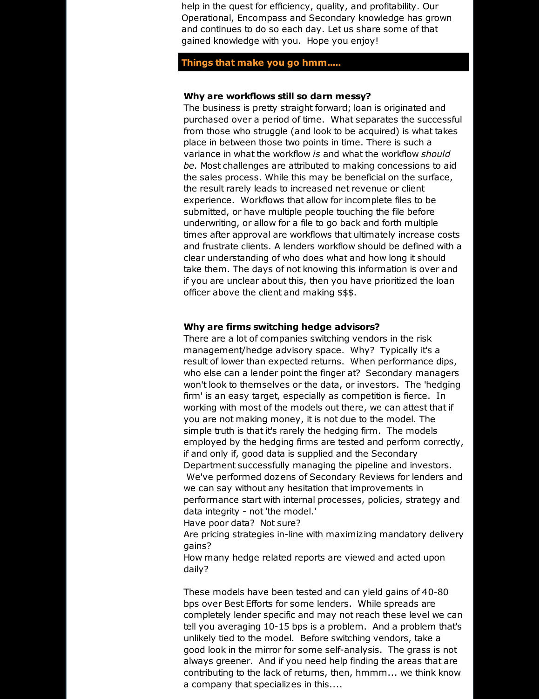help in the quest for efficiency, quality, and profitability. Our Operational, Encompass and Secondary knowledge has grown and continues to do so each day. Let us share some of that gained knowledge with you. Hope you enjoy!

### **Things that make you go hmm.....**

#### **Why are workflows still so darn messy?**

The business is pretty straight forward; loan is originated and purchased over a period of time. What separates the successful from those who struggle (and look to be acquired) is what takes place in between those two points in time. There is such a variance in what the workflow *is* and what the workflow *should be.* Most challenges are attributed to making concessions to aid the sales process. While this may be beneficial on the surface, the result rarely leads to increased net revenue or client experience. Workflows that allow for incomplete files to be submitted, or have multiple people touching the file before underwriting, or allow for a file to go back and forth multiple times after approval are workflows that ultimately increase costs and frustrate clients. A lenders workflow should be defined with a clear understanding of who does what and how long it should take them. The days of not knowing this information is over and if you are unclear about this, then you have prioritized the loan officer above the client and making \$\$\$.

#### **Why are firms switching hedge advisors?**

There are a lot of companies switching vendors in the risk management/hedge advisory space. Why? Typically it's a result of lower than expected returns. When performance dips, who else can a lender point the finger at? Secondary managers won't look to themselves or the data, or investors. The 'hedging firm' is an easy target, especially as competition is fierce. In working with most of the models out there, we can attest that if you are not making money, it is not due to the model. The simple truth is that it's rarely the hedging firm. The models employed by the hedging firms are tested and perform correctly, if and only if, good data is supplied and the Secondary Department successfully managing the pipeline and investors. We've performed dozens of Secondary Reviews for lenders and we can say without any hesitation that improvements in performance start with internal processes, policies, strategy and data integrity - not 'the model.' Have poor data? Not sure?

Are pricing strategies in-line with maximizing mandatory delivery gains?

How many hedge related reports are viewed and acted upon daily?

These models have been tested and can yield gains of 40-80 bps over Best Efforts for some lenders. While spreads are completely lender specific and may not reach these level we can tell you averaging 10-15 bps is a problem. And a problem that's unlikely tied to the model. Before switching vendors, take a good look in the mirror for some self-analysis. The grass is not always greener. And if you need help finding the areas that are contributing to the lack of returns, then, hmmm... we think know a company that specializes in this....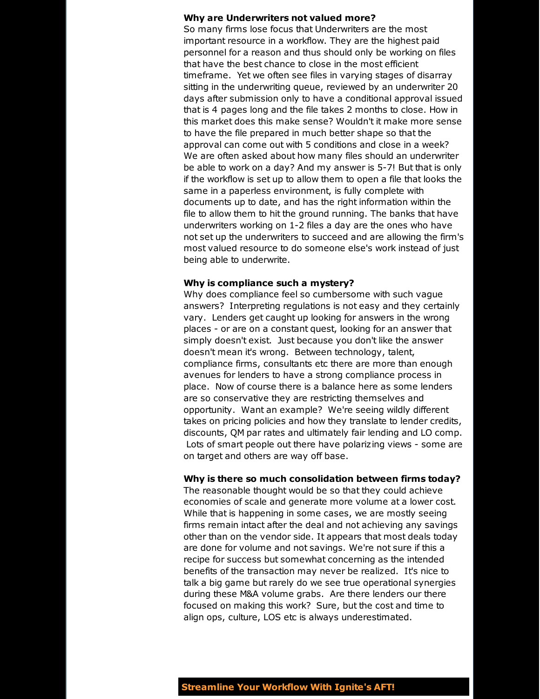#### **Why are Underwriters not valued more?**

So many firms lose focus that Underwriters are the most important resource in a workflow. They are the highest paid personnel for a reason and thus should only be working on files that have the best chance to close in the most efficient timeframe. Yet we often see files in varying stages of disarray sitting in the underwriting queue, reviewed by an underwriter 20 days after submission only to have a conditional approval issued that is 4 pages long and the file takes 2 months to close. How in this market does this make sense? Wouldn't it make more sense to have the file prepared in much better shape so that the approval can come out with 5 conditions and close in a week? We are often asked about how many files should an underwriter be able to work on a day? And my answer is 5-7! But that is only if the workflow is set up to allow them to open a file that looks the same in a paperless environment, is fully complete with documents up to date, and has the right information within the file to allow them to hit the ground running. The banks that have underwriters working on 1-2 files a day are the ones who have not set up the underwriters to succeed and are allowing the firm's most valued resource to do someone else's work instead of just being able to underwrite.

#### **Why is compliance such a mystery?**

Why does compliance feel so cumbersome with such vague answers? Interpreting regulations is not easy and they certainly vary. Lenders get caught up looking for answers in the wrong places - or are on a constant quest, looking for an answer that simply doesn't exist. Just because you don't like the answer doesn't mean it's wrong. Between technology, talent, compliance firms, consultants etc there are more than enough avenues for lenders to have a strong compliance process in place. Now of course there is a balance here as some lenders are so conservative they are restricting themselves and opportunity. Want an example? We're seeing wildly different takes on pricing policies and how they translate to lender credits, discounts, QM par rates and ultimately fair lending and LO comp. Lots of smart people out there have polarizing views - some are on target and others are way off base.

#### **Why is there so much consolidation between firms today?**

The reasonable thought would be so that they could achieve economies of scale and generate more volume at a lower cost. While that is happening in some cases, we are mostly seeing firms remain intact after the deal and not achieving any savings other than on the vendor side. It appears that most deals today are done for volume and not savings. We're not sure if this a recipe for success but somewhat concerning as the intended benefits of the transaction may never be realized. It's nice to talk a big game but rarely do we see true operational synergies during these M&A volume grabs. Are there lenders our there focused on making this work? Sure, but the cost and time to align ops, culture, LOS etc is always underestimated.

**Streamline Your Workflow With Ignite's AFT!**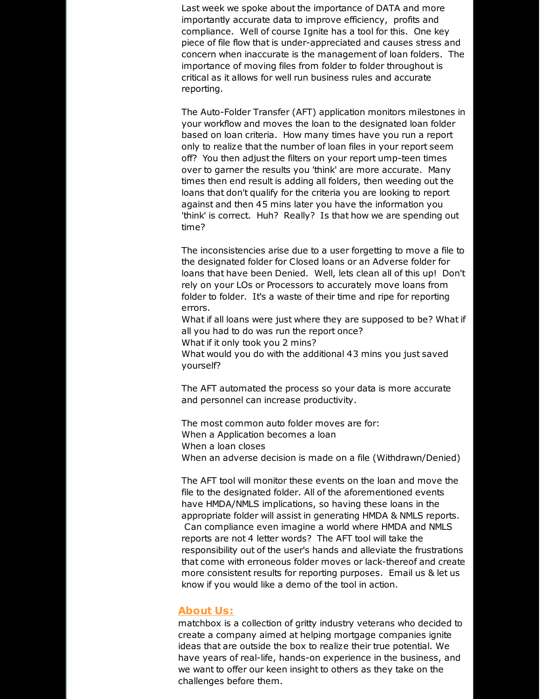Last week we spoke about the importance of DATA and more importantly accurate data to improve efficiency, profits and compliance. Well of course Ignite has a tool for this. One key piece of file flow that is under-appreciated and causes stress and concern when inaccurate is the management of loan folders. The importance of moving files from folder to folder throughout is critical as it allows for well run business rules and accurate reporting.

The Auto-Folder Transfer (AFT) application monitors milestones in your workflow and moves the loan to the designated loan folder based on loan criteria. How many times have you run a report only to realize that the number of loan files in your report seem off? You then adjust the filters on your report ump-teen times over to garner the results you 'think' are more accurate. Many times then end result is adding all folders, then weeding out the loans that don't qualify for the criteria you are looking to report against and then 45 mins later you have the information you 'think' is correct. Huh? Really? Is that how we are spending out time?

The inconsistencies arise due to a user forgetting to move a file to the designated folder for Closed loans or an Adverse folder for loans that have been Denied. Well, lets clean all of this up! Don't rely on your LOs or Processors to accurately move loans from folder to folder. It's a waste of their time and ripe for reporting errors.

What if all loans were just where they are supposed to be? What if all you had to do was run the report once?

What if it only took you 2 mins?

What would you do with the additional 43 mins you just saved yourself?

The AFT automated the process so your data is more accurate and personnel can increase productivity.

The most common auto folder moves are for: When a Application becomes a loan When a loan closes When an adverse decision is made on a file (Withdrawn/Denied)

The AFT tool will monitor these events on the loan and move the file to the designated folder. All of the aforementioned events have HMDA/NMLS implications, so having these loans in the appropriate folder will assist in generating HMDA & NMLS reports. Can compliance even imagine a world where HMDA and NMLS reports are not 4 letter words? The AFT tool will take the responsibility out of the user's hands and alleviate the frustrations that come with erroneous folder moves or lack-thereof and create more consistent results for reporting purposes. Email us & let us know if you would like a demo of the tool in action.

# **About Us:**

matchbox is a collection of gritty industry veterans who decided to create a company aimed at helping mortgage companies ignite ideas that are outside the box to realize their true potential. We have years of real-life, hands-on experience in the business, and we want to offer our keen insight to others as they take on the challenges before them.